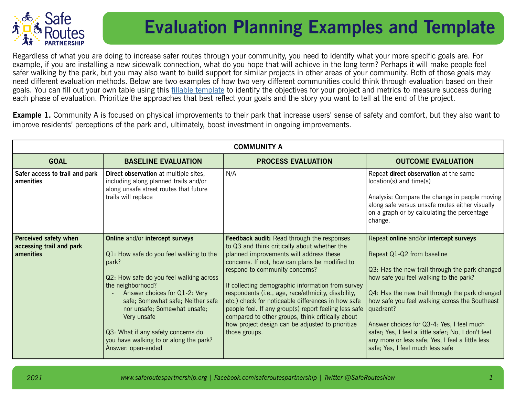

## **Evaluation Planning Examples and Template**

Regardless of what you are doing to increase safer routes through your community, you need to identify what your more specific goals are. For example, if you are installing a new sidewalk connection, what do you hope that will achieve in the long term? Perhaps it will make people feel safer walking by the park, but you may also want to build support for similar projects in other areas of your community. Both of those goals may need different evaluation methods. Below are two examples of how two very different communities could think through evaluation based on their goals. You can fill out your own table using this [fillable template](https://docs.google.com/document/d/1cIt3Gp1Fo2f0qmZaN6E7wqp6jg4fqvGZFjSuxxAdDo8/copy) to identify the objectives for your project and metrics to measure success during each phase of evaluation. Prioritize the approaches that best reflect your goals and the story you want to tell at the end of the project.

**Example 1.** Community A is focused on physical improvements to their park that increase users' sense of safety and comfort, but they also want to improve residents' perceptions of the park and, ultimately, boost investment in ongoing improvements.

| <b>COMMUNITY A</b>                                             |                                                                                                                                                                                                                                                                                                                                                                                |                                                                                                                                                                                                                                                                                                                                                                                                                                                                                                                                                                                      |                                                                                                                                                                                                                                                                                                                                                                                                                                                                               |  |  |  |  |
|----------------------------------------------------------------|--------------------------------------------------------------------------------------------------------------------------------------------------------------------------------------------------------------------------------------------------------------------------------------------------------------------------------------------------------------------------------|--------------------------------------------------------------------------------------------------------------------------------------------------------------------------------------------------------------------------------------------------------------------------------------------------------------------------------------------------------------------------------------------------------------------------------------------------------------------------------------------------------------------------------------------------------------------------------------|-------------------------------------------------------------------------------------------------------------------------------------------------------------------------------------------------------------------------------------------------------------------------------------------------------------------------------------------------------------------------------------------------------------------------------------------------------------------------------|--|--|--|--|
| <b>GOAL</b>                                                    | <b>BASELINE EVALUATION</b>                                                                                                                                                                                                                                                                                                                                                     | <b>PROCESS EVALUATION</b>                                                                                                                                                                                                                                                                                                                                                                                                                                                                                                                                                            | <b>OUTCOME EVALUATION</b>                                                                                                                                                                                                                                                                                                                                                                                                                                                     |  |  |  |  |
| Safer access to trail and park<br>amenities                    | Direct observation at multiple sites,<br>including along planned trails and/or<br>along unsafe street routes that future<br>trails will replace                                                                                                                                                                                                                                | N/A                                                                                                                                                                                                                                                                                                                                                                                                                                                                                                                                                                                  | Repeat direct observation at the same<br>location(s) and time(s)<br>Analysis: Compare the change in people moving<br>along safe versus unsafe routes either visually<br>on a graph or by calculating the percentage<br>change.                                                                                                                                                                                                                                                |  |  |  |  |
| Perceived safety when<br>accessing trail and park<br>amenities | Online and/or intercept surveys<br>Q1: How safe do you feel walking to the<br>park?<br>Q2: How safe do you feel walking across<br>the neighborhood?<br>Answer choices for Q1-2: Very<br>safe; Somewhat safe; Neither safe<br>nor unsafe; Somewhat unsafe;<br>Very unsafe<br>Q3: What if any safety concerns do<br>you have walking to or along the park?<br>Answer: open-ended | <b>Feedback audit:</b> Read through the responses<br>to Q3 and think critically about whether the<br>planned improvements will address these<br>concerns. If not, how can plans be modified to<br>respond to community concerns?<br>If collecting demographic information from survey<br>respondents (i.e., age, race/ethnicity, disability,<br>etc.) check for noticeable differences in how safe<br>people feel. If any group(s) report feeling less safe<br>compared to other groups, think critically about<br>how project design can be adjusted to prioritize<br>those groups. | Repeat online and/or intercept surveys<br>Repeat Q1-Q2 from baseline<br>Q3: Has the new trail through the park changed<br>how safe you feel walking to the park?<br>Q4: Has the new trail through the park changed<br>how safe you feel walking across the Southeast<br>quadrant?<br>Answer choices for Q3-4: Yes, I feel much<br>safer; Yes, I feel a little safer; No, I don't feel<br>any more or less safe; Yes, I feel a little less<br>safe; Yes, I feel much less safe |  |  |  |  |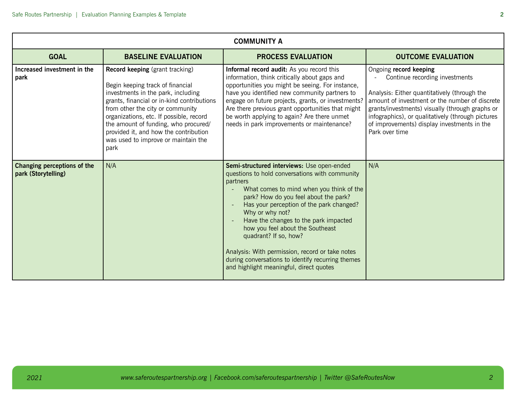| <b>COMMUNITY A</b>                                 |                                                                                                                                                                                                                                                                                                                                                                               |                                                                                                                                                                                                                                                                                                                                                                                                                                                                                                                       |                                                                                                                                                                                                                                                                                                                                     |  |  |  |
|----------------------------------------------------|-------------------------------------------------------------------------------------------------------------------------------------------------------------------------------------------------------------------------------------------------------------------------------------------------------------------------------------------------------------------------------|-----------------------------------------------------------------------------------------------------------------------------------------------------------------------------------------------------------------------------------------------------------------------------------------------------------------------------------------------------------------------------------------------------------------------------------------------------------------------------------------------------------------------|-------------------------------------------------------------------------------------------------------------------------------------------------------------------------------------------------------------------------------------------------------------------------------------------------------------------------------------|--|--|--|
| <b>GOAL</b>                                        | <b>BASELINE EVALUATION</b>                                                                                                                                                                                                                                                                                                                                                    | <b>PROCESS EVALUATION</b>                                                                                                                                                                                                                                                                                                                                                                                                                                                                                             | <b>OUTCOME EVALUATION</b>                                                                                                                                                                                                                                                                                                           |  |  |  |
| Increased investment in the<br>park                | <b>Record keeping</b> (grant tracking)<br>Begin keeping track of financial<br>investments in the park, including<br>grants, financial or in-kind contributions<br>from other the city or community<br>organizations, etc. If possible, record<br>the amount of funding, who procured/<br>provided it, and how the contribution<br>was used to improve or maintain the<br>park | Informal record audit: As you record this<br>information, think critically about gaps and<br>opportunities you might be seeing. For instance,<br>have you identified new community partners to<br>engage on future projects, grants, or investments?<br>Are there previous grant opportunities that might<br>be worth applying to again? Are there unmet<br>needs in park improvements or maintenance?                                                                                                                | Ongoing record keeping<br>Continue recording investments<br>Analysis: Either quantitatively (through the<br>amount of investment or the number of discrete<br>grants/investments) visually (through graphs or<br>infographics), or qualitatively (through pictures<br>of improvements) display investments in the<br>Park over time |  |  |  |
| Changing perceptions of the<br>park (Storytelling) | N/A                                                                                                                                                                                                                                                                                                                                                                           | Semi-structured interviews: Use open-ended<br>questions to hold conversations with community<br>partners<br>What comes to mind when you think of the<br>park? How do you feel about the park?<br>Has your perception of the park changed?<br>Why or why not?<br>Have the changes to the park impacted<br>how you feel about the Southeast<br>quadrant? If so, how?<br>Analysis: With permission, record or take notes<br>during conversations to identify recurring themes<br>and highlight meaningful, direct quotes | N/A                                                                                                                                                                                                                                                                                                                                 |  |  |  |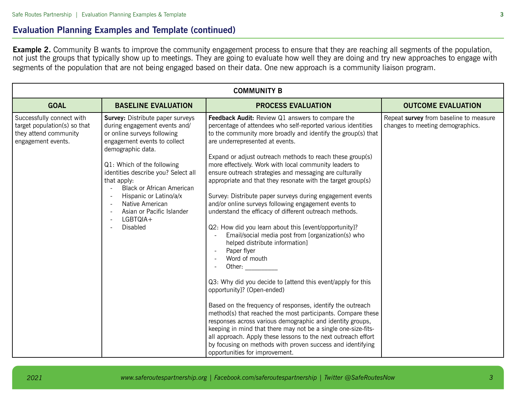## **Evaluation Planning Examples and Template (continued)**

**Example 2.** Community B wants to improve the community engagement process to ensure that they are reaching all segments of the population, not just the groups that typically show up to meetings. They are going to evaluate how well they are doing and try new approaches to engage with segments of the population that are not being engaged based on their data. One new approach is a community liaison program.

| <b>COMMUNITY B</b>                                                                                       |                                                                                                                                                                                                                                                                                                                                                                                        |                                                                                                                                                                                                                                                                                                                                                                                                                                                                                                                                                                                                                                                                                                                                                                                                                                                                                                                                                                                                                                                                                                                                                                                                                                                                                                                                                                               |                                                                            |  |  |  |
|----------------------------------------------------------------------------------------------------------|----------------------------------------------------------------------------------------------------------------------------------------------------------------------------------------------------------------------------------------------------------------------------------------------------------------------------------------------------------------------------------------|-------------------------------------------------------------------------------------------------------------------------------------------------------------------------------------------------------------------------------------------------------------------------------------------------------------------------------------------------------------------------------------------------------------------------------------------------------------------------------------------------------------------------------------------------------------------------------------------------------------------------------------------------------------------------------------------------------------------------------------------------------------------------------------------------------------------------------------------------------------------------------------------------------------------------------------------------------------------------------------------------------------------------------------------------------------------------------------------------------------------------------------------------------------------------------------------------------------------------------------------------------------------------------------------------------------------------------------------------------------------------------|----------------------------------------------------------------------------|--|--|--|
| <b>GOAL</b>                                                                                              | <b>BASELINE EVALUATION</b>                                                                                                                                                                                                                                                                                                                                                             | <b>PROCESS EVALUATION</b>                                                                                                                                                                                                                                                                                                                                                                                                                                                                                                                                                                                                                                                                                                                                                                                                                                                                                                                                                                                                                                                                                                                                                                                                                                                                                                                                                     | <b>OUTCOME EVALUATION</b>                                                  |  |  |  |
| Successfully connect with<br>target population(s) so that<br>they attend community<br>engagement events. | <b>Survey:</b> Distribute paper surveys<br>during engagement events and/<br>or online surveys following<br>engagement events to collect<br>demographic data.<br>Q1: Which of the following<br>identities describe you? Select all<br>that apply:<br><b>Black or African American</b><br>Hispanic or Latino/a/x<br>Native American<br>Asian or Pacific Islander<br>LGBTQIA+<br>Disabled | <b>Feedback Audit:</b> Review Q1 answers to compare the<br>percentage of attendees who self-reported various identities<br>to the community more broadly and identify the group(s) that<br>are underrepresented at events.<br>Expand or adjust outreach methods to reach these group(s)<br>more effectively. Work with local community leaders to<br>ensure outreach strategies and messaging are culturally<br>appropriate and that they resonate with the target group(s)<br>Survey: Distribute paper surveys during engagement events<br>and/or online surveys following engagement events to<br>understand the efficacy of different outreach methods.<br>Q2: How did you learn about this [event/opportunity]?<br>Email/social media post from [organization(s) who<br>helped distribute information]<br>Paper flyer<br>Word of mouth<br>Other:<br>Q3: Why did you decide to [attend this event/apply for this<br>opportunity]? (Open-ended)<br>Based on the frequency of responses, identify the outreach<br>method(s) that reached the most participants. Compare these<br>responses across various demographic and identity groups,<br>keeping in mind that there may not be a single one-size-fits-<br>all approach. Apply these lessons to the next outreach effort<br>by focusing on methods with proven success and identifying<br>opportunities for improvement. | Repeat survey from baseline to measure<br>changes to meeting demographics. |  |  |  |